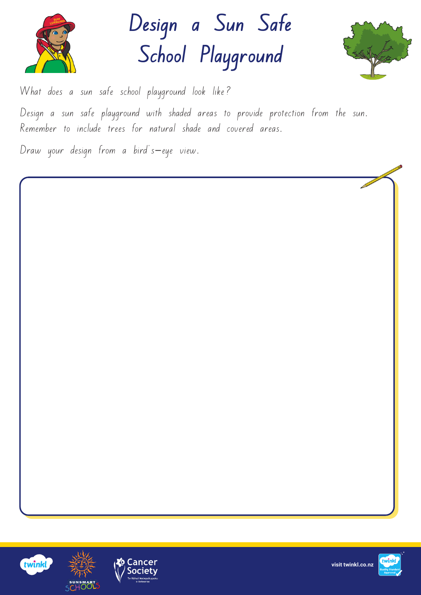

**Design a Sun Safe School Playground** 



What does a sun safe school playground look like?

Design a sun safe playground with shaded areas to provide protection from the sun. Remember to include trees for natural shade and covered areas.

Draw your design from a bird's-eye view.